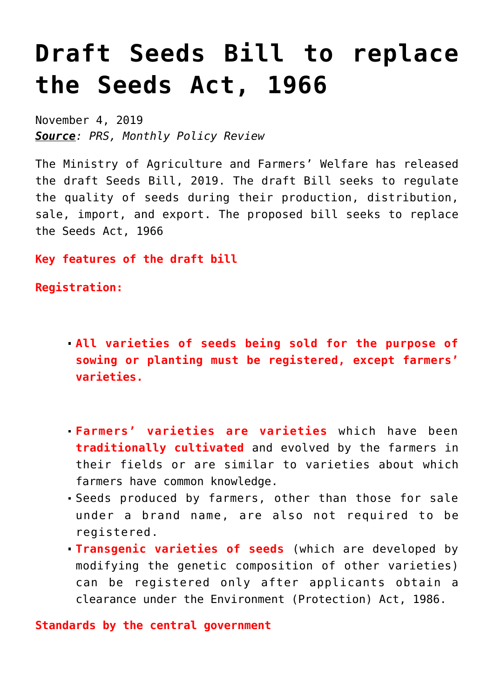## **[Draft Seeds Bill to replace](https://journalsofindia.com/draft-seeds-bill-to-replace-the-seeds-act-1966/) [the Seeds Act, 1966](https://journalsofindia.com/draft-seeds-bill-to-replace-the-seeds-act-1966/)**

November 4, 2019 *Source: PRS, Monthly Policy Review*

The Ministry of Agriculture and Farmers' Welfare has released the draft Seeds Bill, 2019. The draft Bill seeks to regulate the quality of seeds during their production, distribution, sale, import, and export. The proposed bill seeks to replace the Seeds Act, 1966

**Key features of the draft bill**

**Registration:** 

- **All varieties of seeds being sold for the purpose of sowing or planting must be registered, except farmers' varieties.**
- **Farmers' varieties are varieties** which have been **traditionally cultivated** and evolved by the farmers in their fields or are similar to varieties about which farmers have common knowledge.
- Seeds produced by farmers, other than those for sale under a brand name, are also not required to be registered.
- **Transgenic varieties of seeds** (which are developed by modifying the genetic composition of other varieties) can be registered only after applicants obtain a clearance under the Environment (Protection) Act, 1986.

**Standards by the central government**